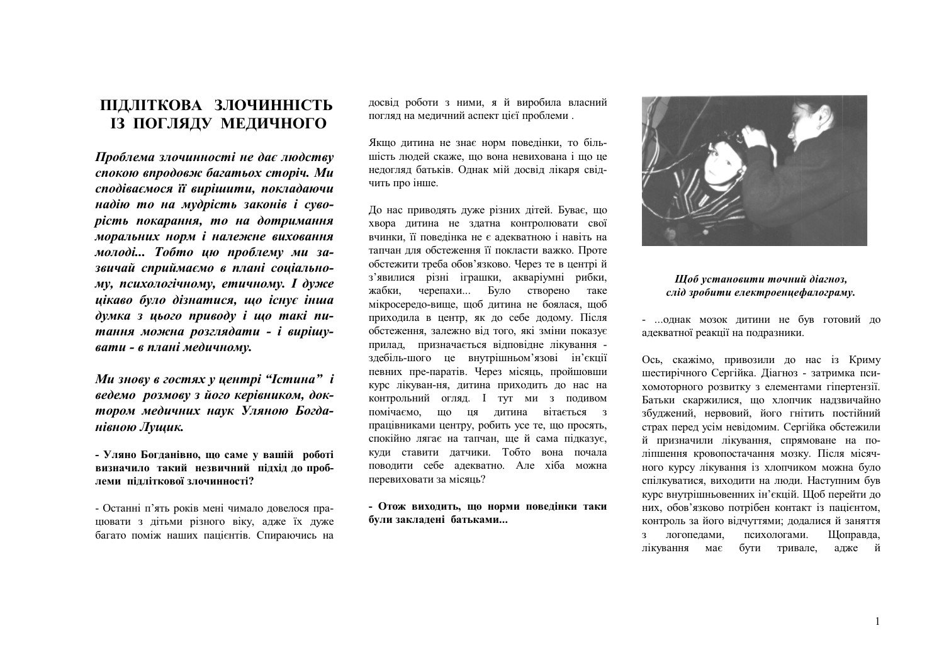## ПІДЛІТКОВА ЗЛОЧИННІСТЬ ІЗ ПОГЛЯДУ МЕДИЧНОГО

Проблема злочинності не дає людству спокою впродовж багатьох сторіч. Ми сподіваємося її вирішити, покладаючи надію то на мудрість законів і суворість покарання, то на дотримання моральних норм і належне виховання молоді... Тобто ию проблему ми зазвичай сприймаємо в плані соціальному, психологічному, етичному. І дуже цікаво було дізнатися, що існує інша думка з цього приводу і що такі питання можна розглядати - і вирішувати - в плані медичному.

Ми знову в гостях у центрі "Істина" і ведемо розмову з його керівником, доктором медичних наук Уляною Богданівною Лушик.

- Уляно Богданівно, що саме у вашій роботі визначило такий незвичний підхід до проблеми пілліткової злочинності?

- Останні п'ять років мені чимало довелося працювати з дітьми різного віку, адже їх дуже багато поміж наших пацієнтів. Спираючись на досвід роботи з ними, я й виробила власний погляд на медичний аспект цієї проблеми.

Якщо дитина не знає норм поведінки, то більшість людей скаже, що вона невихована і що це недогляд батьків. Однак мій досвід лікаря свідчить про інше.

До нас приводять дуже різних дітей. Буває, що хвора дитина не здатна контролювати свої вчинки, її поведінка не є адекватною і навіть на тапчан для обстеження її покласти важко. Проте обстежити треба обов'язково. Через те в центрій з'явилися різні іграшки, акваріумні рибки, жабки. черепахи... Було створено таке мікросередо-вище, щоб дитина не боялася, щоб приходила в центр, як до себе додому. Після обстеження, залежно від того, які зміни показує прилад, призначається відповідне лікування здебіль-шого це внутрішньом'язові ін'єкції певних пре-паратів. Через місяць, пройшовши курс лікуван-ня, дитина приходить до нас на контрольний огляд. I тут ми з подивом помічаємо, що ця дитина вітається з працівниками центру, робить усе те, що просять, спокійно лягає на тапчан, ще й сама підказує, кули ставити латчики. Тобто вона почала поволити себе алекватно. Але хіба можна перевиховати за місяць?

- Отож виходить, що норми поведінки таки були закладені батьками...



## Шоб установити точний діагноз, слід зробити електроенцефалограму.

- ... Однак мозок дитини не був готовий до адекватної реакції на подразники.

Ось, скажімо, привозили до нас із Криму шестирічного Сергійка. Діагноз - затримка психомоторного розвитку з елементами гіпертензії. Батьки скаржилися, що хлопчик надзвичайно збуджений, нервовий, його гнітить постійний страх перед усім невідомим. Сергійка обстежили й призначили лікування, спрямоване на поліпшення кровопостачання мозку. Після місячного курсу лікування із хлопчиком можна було спілкуватися, виходити на люди. Наступним був курс внутрішньовенних ін'єкцій. Щоб перейти до них, обов'язково потрібен контакт із пацієнтом, контроль за його відчуттями; додалися й заняття з логопедами, психологами. Щоправда, лікування має бути тривале, адже й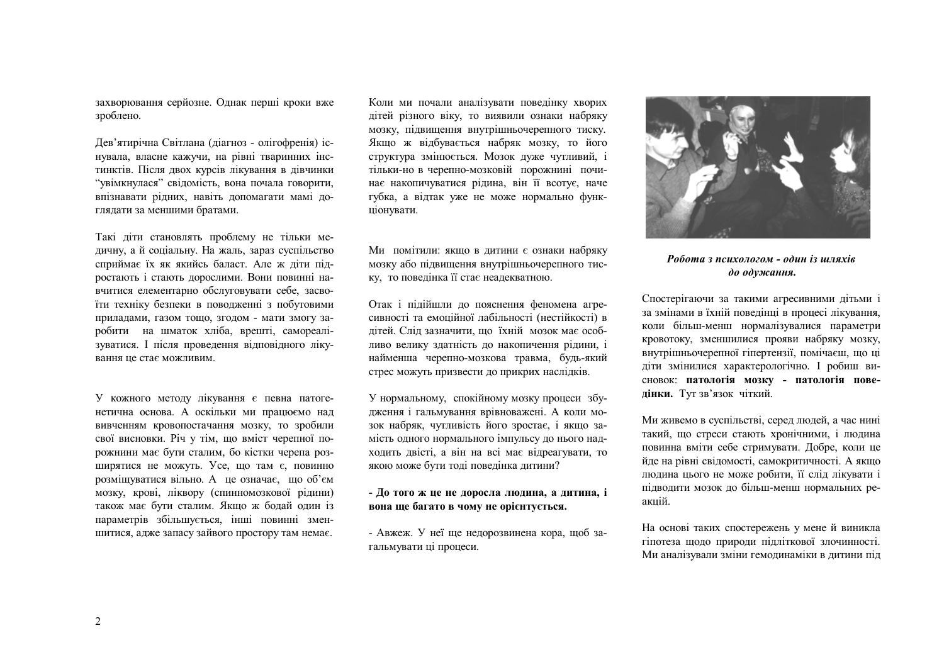захворювання серйозне. Однак перші кроки вже зроблено.

Дев'ятирічна Світлана (діагноз - олігофренія) існувала, власне кажучи, на рівні тваринних інстинктів. Після двох курсів лікування в дівчинки "увімкнулася" свідомість, вона почала говорити, впізнавати рідних, навіть допомагати мамі доглядати за меншими братами.

Такі діти становлять проблему не тільки медичну, а й соціальну. На жаль, зараз суспільство сприймає їх як якийсь баласт. Але ж діти підростають і стають дорослими. Вони повинні навчитися елементарно обслуговувати себе, засвоїти техніку безпеки в поводженні з побутовими приладами, газом тощо, згодом - мати змогу заробити на шматок хліба, врешті, самореалізуватися. І після проведення відповідного лікування це стає можливим.

У кожного методу лікування є певна патогенетична основа. А оскільки ми працюємо над вивченням кровопостачання мозку, то зробили свої висновки. Річ у тім, що вміст черепної порожнини має бути сталим, бо кістки черепа розширятися не можуть. Усе, що там є, повинно розміщуватися вільно. А це означає, що об'єм мозку, крові, ліквору (спинномозкової рідини) також має бути сталим. Якщо ж бодай один із параметрів збільшується, інші повинні зменшитися, адже запасу зайвого простору там немає.

Коли ми почали аналізувати поведінку хворих дітей різного віку, то виявили ознаки набряку мозку, підвищення внутрішньочерепного тиску. Якщо ж відбувається набряк мозку, то його структура змінюється. Мозок дуже чутливий, і тільки-но в черепно-мозковій порожнині починає накопичуватися рідина, він її всотує, наче губка, а відтак уже не може нормально функціонувати.

Ми помітили: якщо в дитини є ознаки набряку мозку або підвищення внутрішньочерепного тиску, то поведінка її стає неадекватною.

Отак і підійшли до пояснення феномена агресивності та емоційної лабільності (нестійкості) в дітей. Слід зазначити, що їхній мозок має особливо велику здатність до накопичення рідини, і найменша черепно-мозкова травма, будь-який стрес можуть призвести до прикрих наслідків.

У нормальному, спокійному мозку процеси збудження і гальмування врівноважені. А коли мозок набряк, чутливість його зростає, і якщо замість одного нормального імпульсу до нього надходить двісті, а він на всі має відреагувати, то якою може бути тоді поведінка дитини?

- До того ж це не доросла людина, а дитина, і вона ще багато в чому не орієнтується.

- Авжеж. У неї ще недорозвинена кора, щоб загальмувати ці процеси.



Робота з психологом - один із шляхів до одужання.

Спостерігаючи за такими агресивними дітьми і за змінами в їхній поведінці в процесі лікування, коли більш-менш нормалізувалися параметри кровотоку, зменшилися прояви набряку мозку, внутрішньочерепної гіпертензії, помічаєш, що ці діти змінилися характерологічно. І робиш висновок: патологія мозку - патологія поведінки. Туг зв'язок чіткий.

Ми живемо в суспільстві, серед людей, а час нині такий, що стреси стають хронічними, і людина повинна вміти себе стримувати. Добре, коли це йде на рівні свідомості, самокритичності. А якщо людина цього не може робити, її слід лікувати і підводити мозок до більш-менш нормальних реакцій.

На основі таких спостережень у мене й виникла гіпотеза щодо природи підліткової злочинності. Ми аналізували зміни гемодинаміки в дитини під